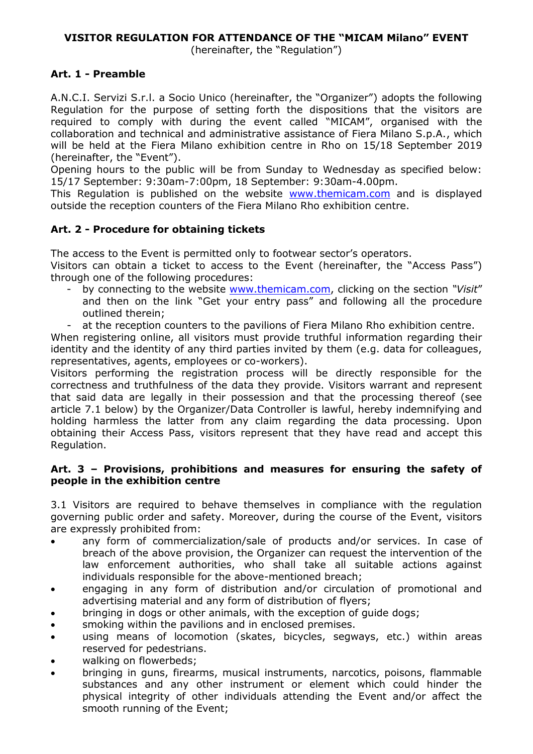(hereinafter, the "Regulation")

# **Art. 1 - Preamble**

A.N.C.I. Servizi S.r.l. a Socio Unico (hereinafter, the "Organizer") adopts the following Regulation for the purpose of setting forth the dispositions that the visitors are required to comply with during the event called "MICAM", organised with the collaboration and technical and administrative assistance of Fiera Milano S.p.A., which will be held at the Fiera Milano exhibition centre in Rho on 15/18 September 2019 (hereinafter, the "Event").

Opening hours to the public will be from Sunday to Wednesday as specified below: 15/17 September: 9:30am-7:00pm, 18 September: 9:30am-4.00pm.

This Regulation is published on the website [www.themicam.com](http://www.themicam.com/) and is displayed outside the reception counters of the Fiera Milano Rho exhibition centre.

# **Art. 2 - Procedure for obtaining tickets**

The access to the Event is permitted only to footwear sector's operators.

Visitors can obtain a ticket to access to the Event (hereinafter, the "Access Pass") through one of the following procedures:

- by connecting to the website [www.themicam.com,](http://www.themicam.com/) clicking on the section *"Visit*" and then on the link "Get your entry pass" and following all the procedure outlined therein;
- at the reception counters to the pavilions of Fiera Milano Rho exhibition centre.

When registering online, all visitors must provide truthful information regarding their identity and the identity of any third parties invited by them (e.g. data for colleagues, representatives, agents, employees or co-workers).

Visitors performing the registration process will be directly responsible for the correctness and truthfulness of the data they provide. Visitors warrant and represent that said data are legally in their possession and that the processing thereof (see article 7.1 below) by the Organizer/Data Controller is lawful, hereby indemnifying and holding harmless the latter from any claim regarding the data processing. Upon obtaining their Access Pass, visitors represent that they have read and accept this Regulation.

### **Art. 3 – Provisions, prohibitions and measures for ensuring the safety of people in the exhibition centre**

3.1 Visitors are required to behave themselves in compliance with the regulation governing public order and safety. Moreover, during the course of the Event, visitors are expressly prohibited from:

- any form of commercialization/sale of products and/or services. In case of breach of the above provision, the Organizer can request the intervention of the law enforcement authorities, who shall take all suitable actions against individuals responsible for the above-mentioned breach;
- engaging in any form of distribution and/or circulation of promotional and advertising material and any form of distribution of flyers;
- bringing in dogs or other animals, with the exception of guide dogs;
- smoking within the pavilions and in enclosed premises.
- using means of locomotion (skates, bicycles, segways, etc.) within areas reserved for pedestrians.
- walking on flowerbeds;
- bringing in guns, firearms, musical instruments, narcotics, poisons, flammable substances and any other instrument or element which could hinder the physical integrity of other individuals attending the Event and/or affect the smooth running of the Event;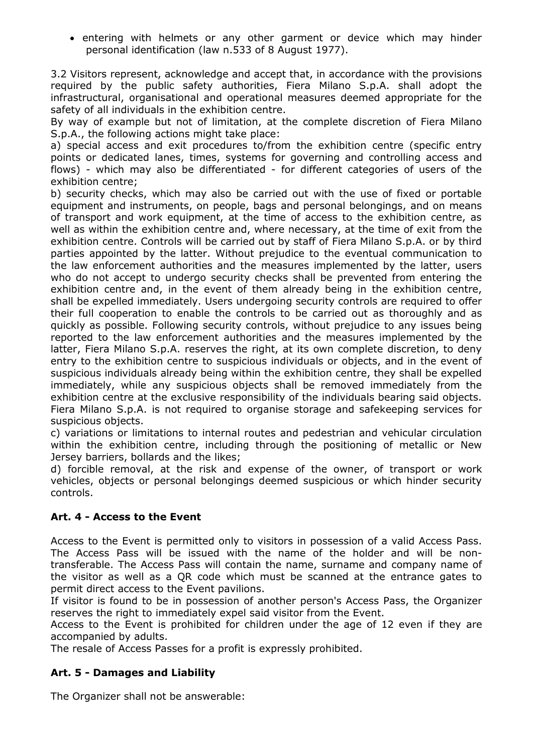• entering with helmets or any other garment or device which may hinder personal identification (law n.533 of 8 August 1977).

3.2 Visitors represent, acknowledge and accept that, in accordance with the provisions required by the public safety authorities, Fiera Milano S.p.A. shall adopt the infrastructural, organisational and operational measures deemed appropriate for the safety of all individuals in the exhibition centre.

By way of example but not of limitation, at the complete discretion of Fiera Milano S.p.A., the following actions might take place:

a) special access and exit procedures to/from the exhibition centre (specific entry points or dedicated lanes, times, systems for governing and controlling access and flows) - which may also be differentiated - for different categories of users of the exhibition centre;

b) security checks, which may also be carried out with the use of fixed or portable equipment and instruments, on people, bags and personal belongings, and on means of transport and work equipment, at the time of access to the exhibition centre, as well as within the exhibition centre and, where necessary, at the time of exit from the exhibition centre. Controls will be carried out by staff of Fiera Milano S.p.A. or by third parties appointed by the latter. Without prejudice to the eventual communication to the law enforcement authorities and the measures implemented by the latter, users who do not accept to undergo security checks shall be prevented from entering the exhibition centre and, in the event of them already being in the exhibition centre, shall be expelled immediately. Users undergoing security controls are required to offer their full cooperation to enable the controls to be carried out as thoroughly and as quickly as possible. Following security controls, without prejudice to any issues being reported to the law enforcement authorities and the measures implemented by the latter, Fiera Milano S.p.A. reserves the right, at its own complete discretion, to deny entry to the exhibition centre to suspicious individuals or objects, and in the event of suspicious individuals already being within the exhibition centre, they shall be expelled immediately, while any suspicious objects shall be removed immediately from the exhibition centre at the exclusive responsibility of the individuals bearing said objects. Fiera Milano S.p.A. is not required to organise storage and safekeeping services for suspicious objects.

c) variations or limitations to internal routes and pedestrian and vehicular circulation within the exhibition centre, including through the positioning of metallic or New Jersey barriers, bollards and the likes;

d) forcible removal, at the risk and expense of the owner, of transport or work vehicles, objects or personal belongings deemed suspicious or which hinder security controls.

# **Art. 4 - Access to the Event**

Access to the Event is permitted only to visitors in possession of a valid Access Pass. The Access Pass will be issued with the name of the holder and will be nontransferable. The Access Pass will contain the name, surname and company name of the visitor as well as a QR code which must be scanned at the entrance gates to permit direct access to the Event pavilions.

If visitor is found to be in possession of another person's Access Pass, the Organizer reserves the right to immediately expel said visitor from the Event.

Access to the Event is prohibited for children under the age of 12 even if they are accompanied by adults.

The resale of Access Passes for a profit is expressly prohibited.

# **Art. 5 - Damages and Liability**

The Organizer shall not be answerable: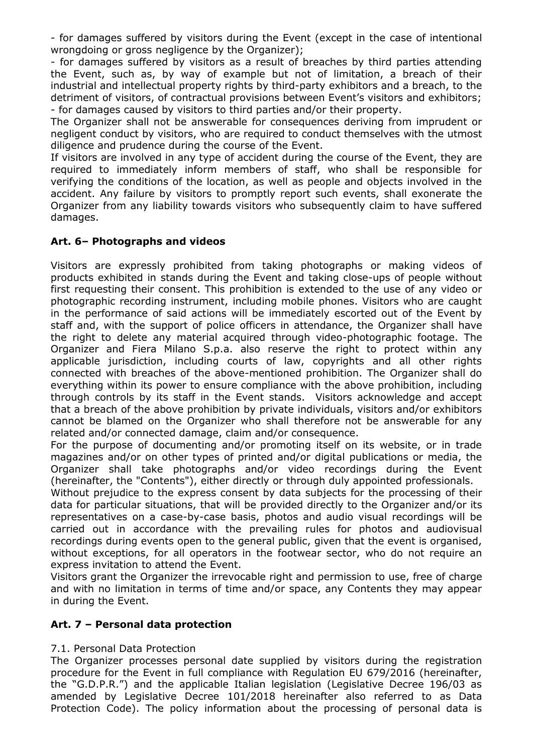- for damages suffered by visitors during the Event (except in the case of intentional wrongdoing or gross negligence by the Organizer);

- for damages suffered by visitors as a result of breaches by third parties attending the Event, such as, by way of example but not of limitation, a breach of their industrial and intellectual property rights by third-party exhibitors and a breach, to the detriment of visitors, of contractual provisions between Event's visitors and exhibitors; - for damages caused by visitors to third parties and/or their property.

The Organizer shall not be answerable for consequences deriving from imprudent or negligent conduct by visitors, who are required to conduct themselves with the utmost diligence and prudence during the course of the Event.

If visitors are involved in any type of accident during the course of the Event, they are required to immediately inform members of staff, who shall be responsible for verifying the conditions of the location, as well as people and objects involved in the accident. Any failure by visitors to promptly report such events, shall exonerate the Organizer from any liability towards visitors who subsequently claim to have suffered damages.

# **Art. 6– Photographs and videos**

Visitors are expressly prohibited from taking photographs or making videos of products exhibited in stands during the Event and taking close-ups of people without first requesting their consent. This prohibition is extended to the use of any video or photographic recording instrument, including mobile phones. Visitors who are caught in the performance of said actions will be immediately escorted out of the Event by staff and, with the support of police officers in attendance, the Organizer shall have the right to delete any material acquired through video-photographic footage. The Organizer and Fiera Milano S.p.a. also reserve the right to protect within any applicable jurisdiction, including courts of law, copyrights and all other rights connected with breaches of the above-mentioned prohibition. The Organizer shall do everything within its power to ensure compliance with the above prohibition, including through controls by its staff in the Event stands. Visitors acknowledge and accept that a breach of the above prohibition by private individuals, visitors and/or exhibitors cannot be blamed on the Organizer who shall therefore not be answerable for any related and/or connected damage, claim and/or consequence.

For the purpose of documenting and/or promoting itself on its website, or in trade magazines and/or on other types of printed and/or digital publications or media, the Organizer shall take photographs and/or video recordings during the Event (hereinafter, the "Contents"), either directly or through duly appointed professionals.

Without prejudice to the express consent by data subjects for the processing of their data for particular situations, that will be provided directly to the Organizer and/or its representatives on a case-by-case basis, photos and audio visual recordings will be carried out in accordance with the prevailing rules for photos and audiovisual recordings during events open to the general public, given that the event is organised, without exceptions, for all operators in the footwear sector, who do not require an express invitation to attend the Event.

Visitors grant the Organizer the irrevocable right and permission to use, free of charge and with no limitation in terms of time and/or space, any Contents they may appear in during the Event.

### **Art. 7 – Personal data protection**

### 7.1. Personal Data Protection

The Organizer processes personal date supplied by visitors during the registration procedure for the Event in full compliance with Regulation EU 679/2016 (hereinafter, the "G.D.P.R.") and the applicable Italian legislation (Legislative Decree 196/03 as amended by Legislative Decree 101/2018 hereinafter also referred to as Data Protection Code). The policy information about the processing of personal data is